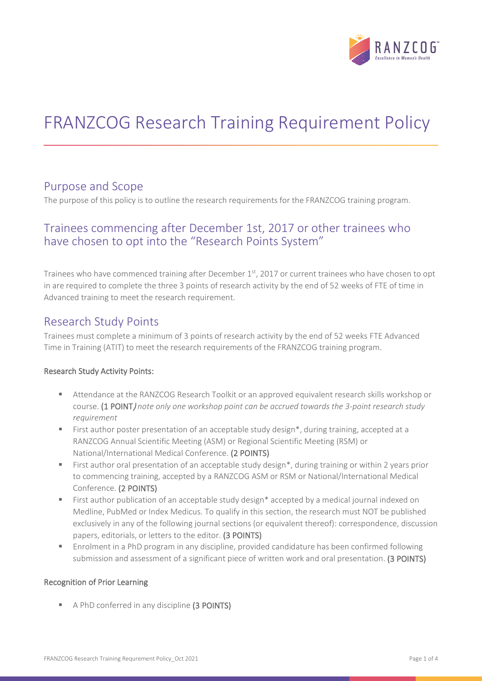

# FRANZCOG Research Training Requirement Policy

### Purpose and Scope

The purpose of this policy is to outline the research requirements for the FRANZCOG training program.

# Trainees commencing after December 1st, 2017 or other trainees who have chosen to opt into the "Research Points System"

Trainees who have commenced training after December 1st, 2017 or current trainees who have chosen to opt in are required to complete the three 3 points of research activity by the end of 52 weeks of FTE of time in Advanced training to meet the research requirement.

### Research Study Points

Trainees must complete a minimum of 3 points of research activity by the end of 52 weeks FTE Advanced Time in Training (ATIT) to meet the research requirements of the FRANZCOG training program.

#### Research Study Activity Points:

- Attendance at the RANZCOG Research Toolkit or an approved equivalent research skills workshop or course. (1 POINT) *note only one workshop point can be accrued towards the 3-point research study requirement*
- **First author poster presentation of an acceptable study design\*, during training, accepted at a** RANZCOG Annual Scientific Meeting (ASM) or Regional Scientific Meeting (RSM) or National/International Medical Conference. (2 POINTS)
- First author oral presentation of an acceptable study design\*, during training or within 2 years prior to commencing training, accepted by a RANZCOG ASM or RSM or National/International Medical Conference. (2 POINTS)
- First author publication of an acceptable study design\* accepted by a medical journal indexed on Medline, PubMed or Index Medicus. To qualify in this section, the research must NOT be published exclusively in any of the following journal sections (or equivalent thereof): correspondence, discussion papers, editorials, or letters to the editor. (3 POINTS)
- Enrolment in a PhD program in any discipline, provided candidature has been confirmed following submission and assessment of a significant piece of written work and oral presentation. (3 POINTS)

#### Recognition of Prior Learning

A PhD conferred in any discipline (3 POINTS)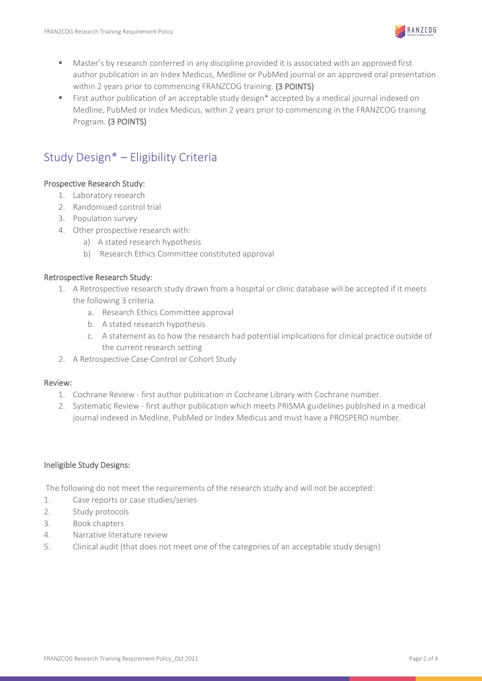

- Master's by research conferred in any discipline provided it is associated with an approved first author publication in an Index Medicus, Medline or PubMed journal or an approved oral presentation within 2 years prior to commencing FRANZCOG training. (3 POINTS)
- **First author publication of an acceptable study design\* accepted by a medical journal indexed on** Medline, PubMed or Index Medicus, within 2 years prior to commencing in the FRANZCOG training Program. (3 POINTS)

# Study Design\* – Eligibility Criteria

#### Prospective Research Study:

- 1. Laboratory research
- 2. Randomised control trial
- 3. Population survey
- 4. Other prospective research with:
	- a) A stated research hypothesis
	- b) Research Ethics Committee constituted approval

#### Retrospective Research Study:

- 1. A Retrospective research study drawn from a hospital or clinic database will be accepted if it meets the following 3 criteria.
	- a. Research Ethics Committee approval
	- b. A stated research hypothesis
	- c. A statement as to how the research had potential implications for clinical practice outside of the current research setting
- 2. A Retrospective Case-Control or Cohort Study

#### Review:

- 1. Cochrane Review first author publication in Cochrane Library with Cochrane number.
- 2. Systematic Review first author publication which meets PRISMA guidelines published in a medical journal indexed in Medline, PubMed or Index Medicus and must have a PROSPERO number.

#### Ineligible Study Designs:

The following do not meet the requirements of the research study and will not be accepted:

- 1. Case reports or case studies/series
- 2. Study protocols
- 3. Book chapters
- 4. Narrative literature review
- 5. Clinical audit (that does not meet one of the categories of an acceptable study design)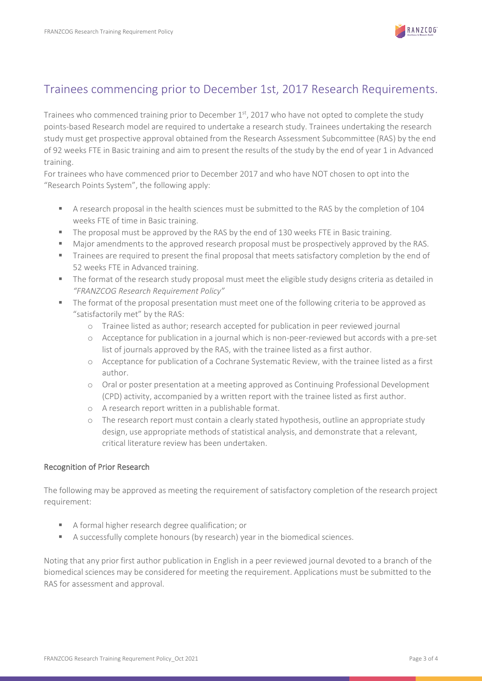

# Trainees commencing prior to December 1st, 2017 Research Requirements.

Trainees who commenced training prior to December  $1<sup>st</sup>$ , 2017 who have not opted to complete the study points-based Research model are required to undertake a research study. Trainees undertaking the research study must get prospective approval obtained from the Research Assessment Subcommittee (RAS) by the end of 92 weeks FTE in Basic training and aim to present the results of the study by the end of year 1 in Advanced training.

For trainees who have commenced prior to December 2017 and who have NOT chosen to opt into the "Research Points System", the following apply:

- A research proposal in the health sciences must be submitted to the RAS by the completion of 104 weeks FTE of time in Basic training.
- The proposal must be approved by the RAS by the end of 130 weeks FTE in Basic training.
- **Major amendments to the approved research proposal must be prospectively approved by the RAS.**
- **Trainees are required to present the final proposal that meets satisfactory completion by the end of** 52 weeks FTE in Advanced training.
- The format of the research study proposal must meet the eligible study designs criteria as detailed in *"FRANZCOG Research Requirement Policy"*
- **The format of the proposal presentation must meet one of the following criteria to be approved as** "satisfactorily met" by the RAS:
	- o Trainee listed as author; research accepted for publication in peer reviewed journal
	- o Acceptance for publication in a journal which is non-peer-reviewed but accords with a pre-set list of journals approved by the RAS, with the trainee listed as a first author.
	- o Acceptance for publication of a Cochrane Systematic Review, with the trainee listed as a first author.
	- o Oral or poster presentation at a meeting approved as Continuing Professional Development (CPD) activity, accompanied by a written report with the trainee listed as first author.
	- o A research report written in a publishable format.
	- o The research report must contain a clearly stated hypothesis, outline an appropriate study design, use appropriate methods of statistical analysis, and demonstrate that a relevant, critical literature review has been undertaken.

#### Recognition of Prior Research

The following may be approved as meeting the requirement of satisfactory completion of the research project requirement:

- A formal higher research degree qualification; or
- A successfully complete honours (by research) year in the biomedical sciences.

Noting that any prior first author publication in English in a peer reviewed journal devoted to a branch of the biomedical sciences may be considered for meeting the requirement. Applications must be submitted to the RAS for assessment and approval.